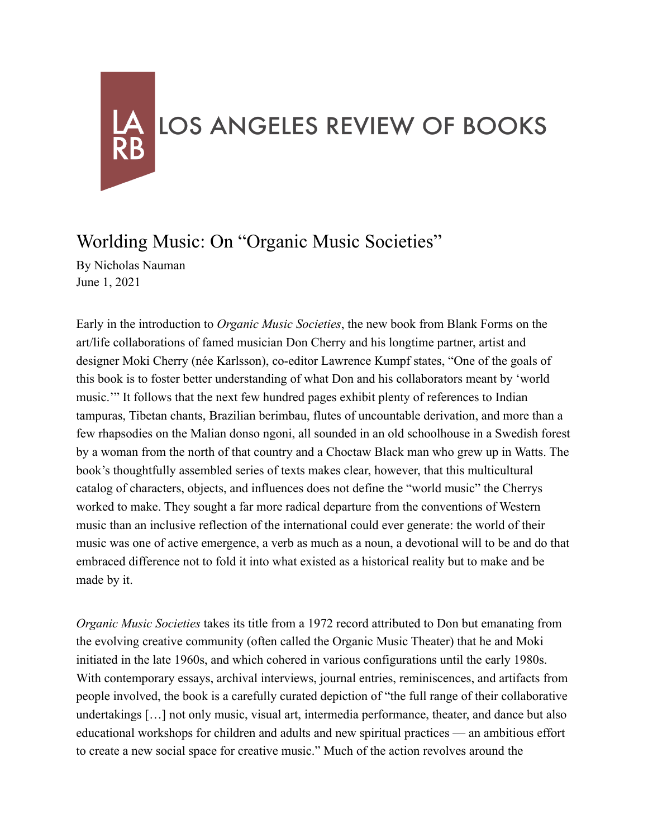## LOS ANGELES REVIEW OF BOOKS

## Worlding Music: On "Organic Music Societies"

By Nicholas Nauman June 1, 2021

Early in the introduction to *Organic Music Societies*, the new book from Blank Forms on the art/life collaborations of famed musician Don Cherry and his longtime partner, artist and designer Moki Cherry (née Karlsson), co-editor Lawrence Kumpf states, "One of the goals of this book is to foster better understanding of what Don and his collaborators meant by 'world music.'" It follows that the next few hundred pages exhibit plenty of references to Indian tampuras, Tibetan chants, Brazilian berimbau, flutes of uncountable derivation, and more than a few rhapsodies on the Malian donso ngoni, all sounded in an old schoolhouse in a Swedish forest by a woman from the north of that country and a Choctaw Black man who grew up in Watts. The book's thoughtfully assembled series of texts makes clear, however, that this multicultural catalog of characters, objects, and influences does not define the "world music" the Cherrys worked to make. They sought a far more radical departure from the conventions of Western music than an inclusive reflection of the international could ever generate: the world of their music was one of active emergence, a verb as much as a noun, a devotional will to be and do that embraced difference not to fold it into what existed as a historical reality but to make and be made by it.

*Organic Music Societies* takes its title from a 1972 record attributed to Don but emanating from the evolving creative community (often called the Organic Music Theater) that he and Moki initiated in the late 1960s, and which cohered in various configurations until the early 1980s. With contemporary essays, archival interviews, journal entries, reminiscences, and artifacts from people involved, the book is a carefully curated depiction of "the full range of their collaborative undertakings […] not only music, visual art, intermedia performance, theater, and dance but also educational workshops for children and adults and new spiritual practices — an ambitious effort to create a new social space for creative music." Much of the action revolves around the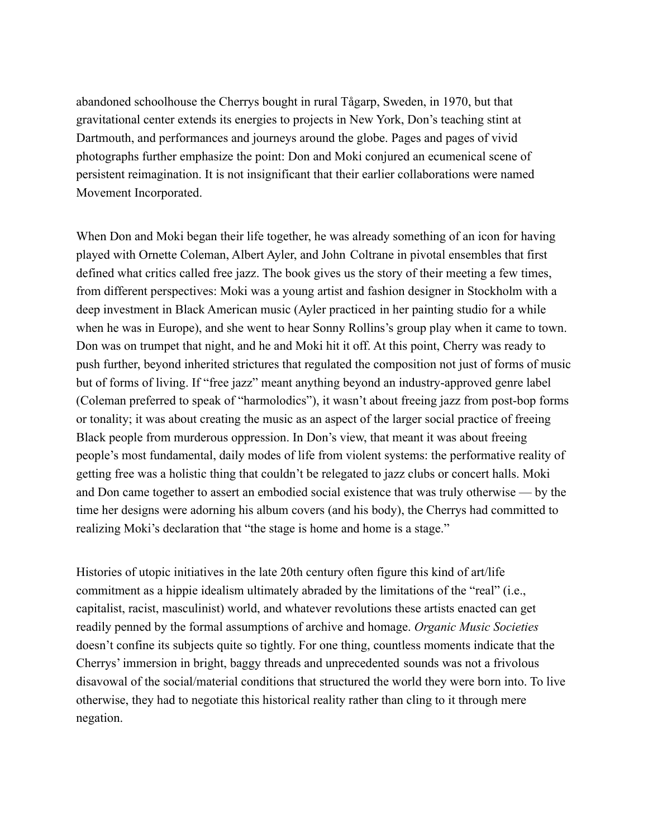abandoned schoolhouse the Cherrys bought in rural Tågarp, Sweden, in 1970, but that gravitational center extends its energies to projects in New York, Don's teaching stint at Dartmouth, and performances and journeys around the globe. Pages and pages of vivid photographs further emphasize the point: Don and Moki conjured an ecumenical scene of persistent reimagination. It is not insignificant that their earlier collaborations were named Movement Incorporated.

When Don and Moki began their life together, he was already something of an icon for having played with Ornette Coleman, Albert Ayler, and John Coltrane in pivotal ensembles that first defined what critics called free jazz. The book gives us the story of their meeting a few times, from different perspectives: Moki was a young artist and fashion designer in Stockholm with a deep investment in Black American music (Ayler practiced in her painting studio for a while when he was in Europe), and she went to hear Sonny Rollins's group play when it came to town. Don was on trumpet that night, and he and Moki hit it off. At this point, Cherry was ready to push further, beyond inherited strictures that regulated the composition not just of forms of music but of forms of living. If "free jazz" meant anything beyond an industry-approved genre label (Coleman preferred to speak of "harmolodics"), it wasn't about freeing jazz from post-bop forms or tonality; it was about creating the music as an aspect of the larger social practice of freeing Black people from murderous oppression. In Don's view, that meant it was about freeing people's most fundamental, daily modes of life from violent systems: the performative reality of getting free was a holistic thing that couldn't be relegated to jazz clubs or concert halls. Moki and Don came together to assert an embodied social existence that was truly otherwise — by the time her designs were adorning his album covers (and his body), the Cherrys had committed to realizing Moki's declaration that "the stage is home and home is a stage."

Histories of utopic initiatives in the late 20th century often figure this kind of art/life commitment as a hippie idealism ultimately abraded by the limitations of the "real" (i.e., capitalist, racist, masculinist) world, and whatever revolutions these artists enacted can get readily penned by the formal assumptions of archive and homage. *Organic Music Societies* doesn't confine its subjects quite so tightly. For one thing, countless moments indicate that the Cherrys' immersion in bright, baggy threads and unprecedented sounds was not a frivolous disavowal of the social/material conditions that structured the world they were born into. To live otherwise, they had to negotiate this historical reality rather than cling to it through mere negation.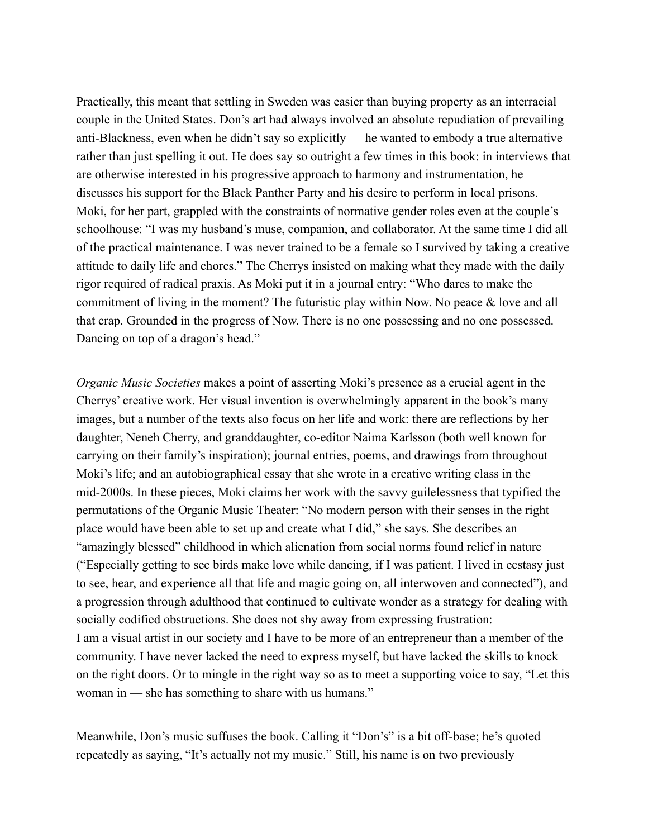Practically, this meant that settling in Sweden was easier than buying property as an interracial couple in the United States. Don's art had always involved an absolute repudiation of prevailing anti-Blackness, even when he didn't say so explicitly — he wanted to embody a true alternative rather than just spelling it out. He does say so outright a few times in this book: in interviews that are otherwise interested in his progressive approach to harmony and instrumentation, he discusses his support for the Black Panther Party and his desire to perform in local prisons. Moki, for her part, grappled with the constraints of normative gender roles even at the couple's schoolhouse: "I was my husband's muse, companion, and collaborator. At the same time I did all of the practical maintenance. I was never trained to be a female so I survived by taking a creative attitude to daily life and chores." The Cherrys insisted on making what they made with the daily rigor required of radical praxis. As Moki put it in a journal entry: "Who dares to make the commitment of living in the moment? The futuristic play within Now. No peace & love and all that crap. Grounded in the progress of Now. There is no one possessing and no one possessed. Dancing on top of a dragon's head."

*Organic Music Societies* makes a point of asserting Moki's presence as a crucial agent in the Cherrys' creative work. Her visual invention is overwhelmingly apparent in the book's many images, but a number of the texts also focus on her life and work: there are reflections by her daughter, Neneh Cherry, and granddaughter, co-editor Naima Karlsson (both well known for carrying on their family's inspiration); journal entries, poems, and drawings from throughout Moki's life; and an autobiographical essay that she wrote in a creative writing class in the mid-2000s. In these pieces, Moki claims her work with the savvy guilelessness that typified the permutations of the Organic Music Theater: "No modern person with their senses in the right place would have been able to set up and create what I did," she says. She describes an "amazingly blessed" childhood in which alienation from social norms found relief in nature ("Especially getting to see birds make love while dancing, if I was patient. I lived in ecstasy just to see, hear, and experience all that life and magic going on, all interwoven and connected"), and a progression through adulthood that continued to cultivate wonder as a strategy for dealing with socially codified obstructions. She does not shy away from expressing frustration: I am a visual artist in our society and I have to be more of an entrepreneur than a member of the community. I have never lacked the need to express myself, but have lacked the skills to knock on the right doors. Or to mingle in the right way so as to meet a supporting voice to say, "Let this woman in — she has something to share with us humans."

Meanwhile, Don's music suffuses the book. Calling it "Don's" is a bit off-base; he's quoted repeatedly as saying, "It's actually not my music." Still, his name is on two previously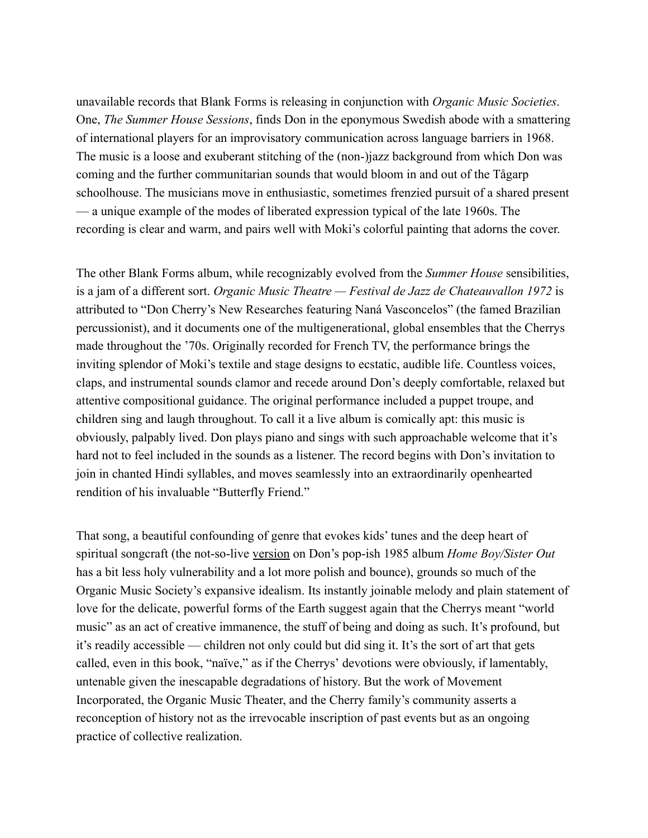unavailable records that Blank Forms is releasing in conjunction with *Organic Music Societies*. One, *The Summer House Sessions*, finds Don in the eponymous Swedish abode with a smattering of international players for an improvisatory communication across language barriers in 1968. The music is a loose and exuberant stitching of the (non-)jazz background from which Don was coming and the further communitarian sounds that would bloom in and out of the Tågarp schoolhouse. The musicians move in enthusiastic, sometimes frenzied pursuit of a shared present — a unique example of the modes of liberated expression typical of the late 1960s. The recording is clear and warm, and pairs well with Moki's colorful painting that adorns the cover.

The other Blank Forms album, while recognizably evolved from the *Summer House* sensibilities, is a jam of a different sort. *Organic Music Theatre — Festival de Jazz de Chateauvallon 1972* is attributed to "Don Cherry's New Researches featuring Naná Vasconcelos" (the famed Brazilian percussionist), and it documents one of the multigenerational, global ensembles that the Cherrys made throughout the '70s. Originally recorded for French TV, the performance brings the inviting splendor of Moki's textile and stage designs to ecstatic, audible life. Countless voices, claps, and instrumental sounds clamor and recede around Don's deeply comfortable, relaxed but attentive compositional guidance. The original performance included a puppet troupe, and children sing and laugh throughout. To call it a live album is comically apt: this music is obviously, palpably lived. Don plays piano and sings with such approachable welcome that it's hard not to feel included in the sounds as a listener. The record begins with Don's invitation to join in chanted Hindi syllables, and moves seamlessly into an extraordinarily openhearted rendition of his invaluable "Butterfly Friend."

That song, a beautiful confounding of genre that evokes kids' tunes and the deep heart of spiritual songcraft (the not-so-live [version](https://www.youtube.com/watch?v=XsHy1FZa4nY) on Don's pop-ish 1985 album *Home Boy/Sister Out* has a bit less holy vulnerability and a lot more polish and bounce), grounds so much of the Organic Music Society's expansive idealism. Its instantly joinable melody and plain statement of love for the delicate, powerful forms of the Earth suggest again that the Cherrys meant "world music" as an act of creative immanence, the stuff of being and doing as such. It's profound, but it's readily accessible — children not only could but did sing it. It's the sort of art that gets called, even in this book, "naïve," as if the Cherrys' devotions were obviously, if lamentably, untenable given the inescapable degradations of history. But the work of Movement Incorporated, the Organic Music Theater, and the Cherry family's community asserts a reconception of history not as the irrevocable inscription of past events but as an ongoing practice of collective realization.